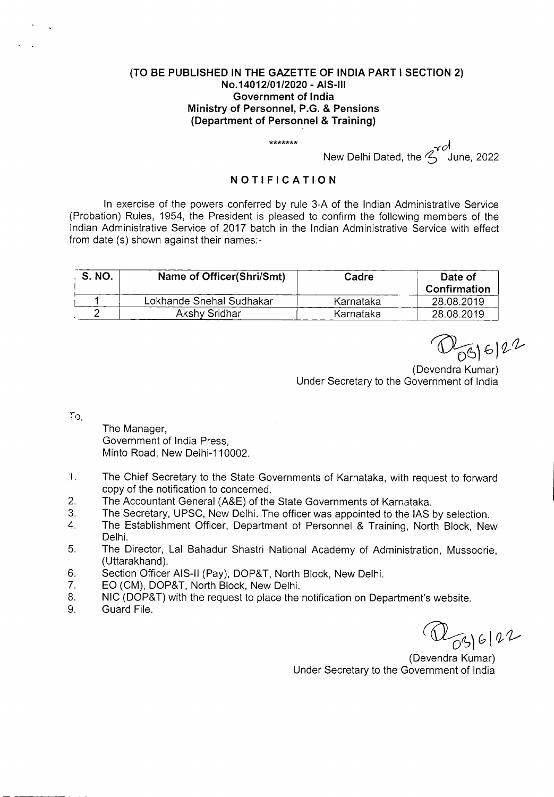## **(TO BE PUBLISHED IN THE GAZETTE OF INDIA PART I SECTION 2) No.14012/01/2020** - **AIS-Ill Government of India Ministry of Personnel, P.G. & Pensions (Department of Personnel** & **Training)**

New Delhi Dated, the <sup>Yol</sup> June, 2022

## **NOTIFICATION**

\*\*\*\*\*\*\*

In exercise of the powers conferred by rule 3-A of the Indian Administrative Service (Probation) Rules, 1954, the President is pleased to confirm the following members of the Indian Administrative Service of 2017 batch in the Indian Administrative Service with effect from date (s) shown against their names:-

| S. NO. | Name of Officer(Shri/Smt) | Cadre     | Date of<br>Confirmation |
|--------|---------------------------|-----------|-------------------------|
|        | Lokhande Snehal Sudhakar  | Karnataka | 28.08.2019              |
|        | Akshy Sridhar             | Karnataka | 28.08.2019              |

 $\frac{10}{696}$  6 2<sup>2</sup>

Under Secretary to the Government of India

 $\mathcal{T}_{\mathcal{O},i}$ 

The Manager, Government of India Press, Minto Road, New Delhi-110002.

- $\overline{1}$ . The Chief Secretary to the State Governments of Karnataka, with request to forward copy of the notification to concerned.
- 2. The Accountant General (A&E) of the State Governments of Karnataka.
- 3. The Secretary, UPSC, New Delhi. The officer was appointed to the lAS by selection.
- 4. The Establishment Officer, Department of Personnel & Training, North Block, New Delhi.
- 5. The Director, Lal Bahadur Shastri National Academy of Administration, Mussoorie, (Uttarakhand).
- 6. Section Officer AIS-Il (Pay), DOP&T, North Block, New Delhi.
- 7. EO (CM), DOP&T, North Block, New Delhi.
- 8. NIC (DOP&T) with the request to place the notification on Department's website.
- 9. Guard File.

 $D_{03|6|22}$ 

(Devendra Kumar) Under Secretary to the Government of India